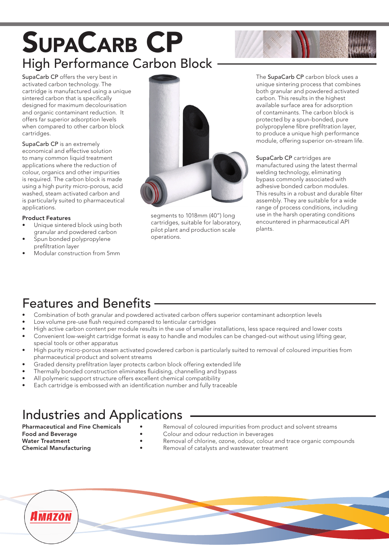# SupaCarb CP High Performance Carbon Block

SupaCarb CP offers the very best in activated carbon technology. The cartridge is manufactured using a unique sintered carbon that is specifically designed for maximum decolourisation and organic contaminant reduction. It offers far superior adsorption levels when compared to other carbon block cartridges.

SupaCarb CP is an extremely economical and effective solution to many common liquid treatment applications where the reduction of colour, organics and other impurities is required. The carbon block is made using a high purity micro-porous, acid washed, steam activated carbon and is particularly suited to pharmaceutical applications.

#### Product Features

- Unique sintered block using both granular and powdered carbon
- Spun bonded polypropylene prefiltration layer
- Modular construction from 5mm



segments to 1018mm (40") long cartridges, suitable for laboratory, pilot plant and production scale operations.

The SupaCarb CP carbon block uses a unique sintering process that combines both granular and powdered activated carbon. This results in the highest available surface area for adsorption of contaminants. The carbon block is protected by a spun-bonded, pure polypropylene fibre prefiltration layer, to produce a unique high performance module, offering superior on-stream life.

SupaCarb CP cartridges are manufactured using the latest thermal welding technology, eliminating bypass commonly associated with adhesive bonded carbon modules. This results in a robust and durable filter assembly. They are suitable for a wide range of process conditions, including use in the harsh operating conditions encountered in pharmaceutical API plants.

#### Features and Benefits

- Combination of both granular and powdered activated carbon offers superior contaminant adsorption levels
- Low volume pre-use flush required compared to lenticular cartridges
- High active carbon content per module results in the use of smaller installations, less space required and lower costs
- Convenient low-weight cartridge format is easy to handle and modules can be changed-out without using lifting gear, special tools or other apparatus
- High purity micro-porous steam activated powdered carbon is particularly suited to removal of coloured impurities from pharmaceutical product and solvent streams
- Graded density prefiltration layer protects carbon block offering extended life
- Thermally bonded construction eliminates fluidising, channelling and bypass
- All polymeric support structure offers excellent chemical compatibility
- Each cartridge is embossed with an identification number and fully traceable

### Industries and Applications

- 
- 
- 
- 
- **Pharmaceutical and Fine Chemicals •** Removal of coloured impurities from product and solvent streams<br> **Food and Beverage •** Colour and odour reduction in beverages Colour and odour reduction in beverages
	-
	-
- Water Treatment Removal of chlorine, ozone, odour, colour and trace organic compounds
	- Removal of catalysts and wastewater treatment